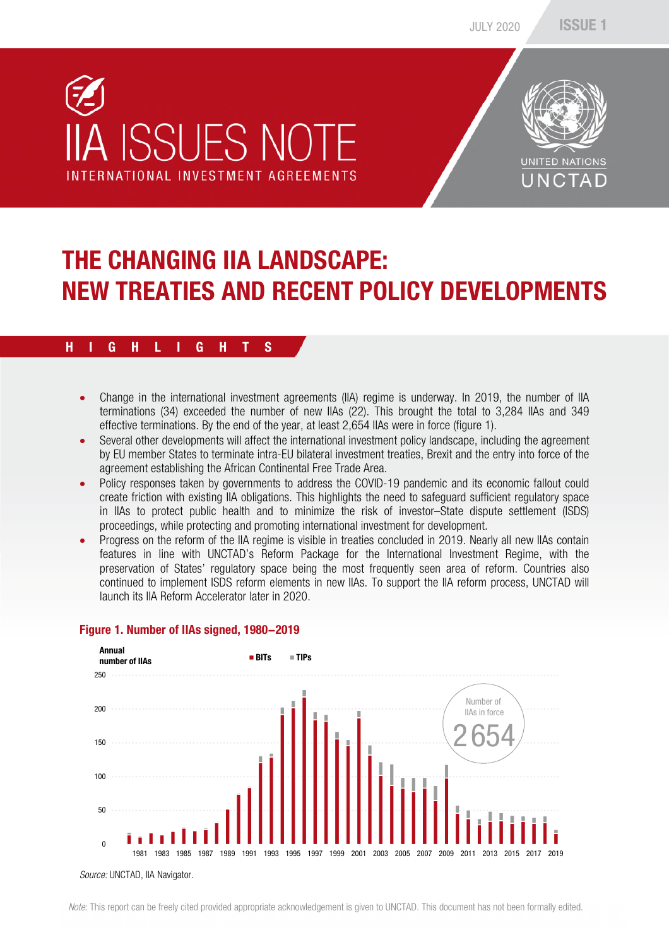



## THE CHANGING IIA LANDSCAPE: NEW TREATIES AND RECENT POLICY DEVELOPMENTS

#### H I G H L I G H T S

- Change in the international investment agreements (IIA) regime is underway. In 2019, the number of IIA terminations (34) exceeded the number of new IIAs (22). This brought the total to 3,284 IIAs and 349 effective terminations. By the end of the year, at least 2,654 IIAs were in force (figure 1).
- Several other developments will affect the international investment policy landscape, including the agreement by EU member States to terminate intra-EU bilateral investment treaties, Brexit and the entry into force of the agreement establishing the African Continental Free Trade Area.
- Policy responses taken by governments to address the COVID-19 pandemic and its economic fallout could create friction with existing IIA obligations. This highlights the need to safeguard sufficient regulatory space in IIAs to protect public health and to minimize the risk of investor–State dispute settlement (ISDS) proceedings, while protecting and promoting international investment for development.
- Progress on the reform of the IIA regime is visible in treaties concluded in 2019. Nearly all new IIAs contain features in line with UNCTAD's Reform Package for the International Investment Regime, with the preservation of States' regulatory space being the most frequently seen area of reform. Countries also continued to implement ISDS reform elements in new IIAs. To support the IIA reform process, UNCTAD will launch its IIA Reform Accelerator later in 2020.



#### Figure 1. Number of IIAs signed, 1980-2019

*Source:* UNCTAD, IIA Navigator.

*Note*: This report can be freely cited provided appropriate acknowledgement is given to UNCTAD. This document has not been formally edited.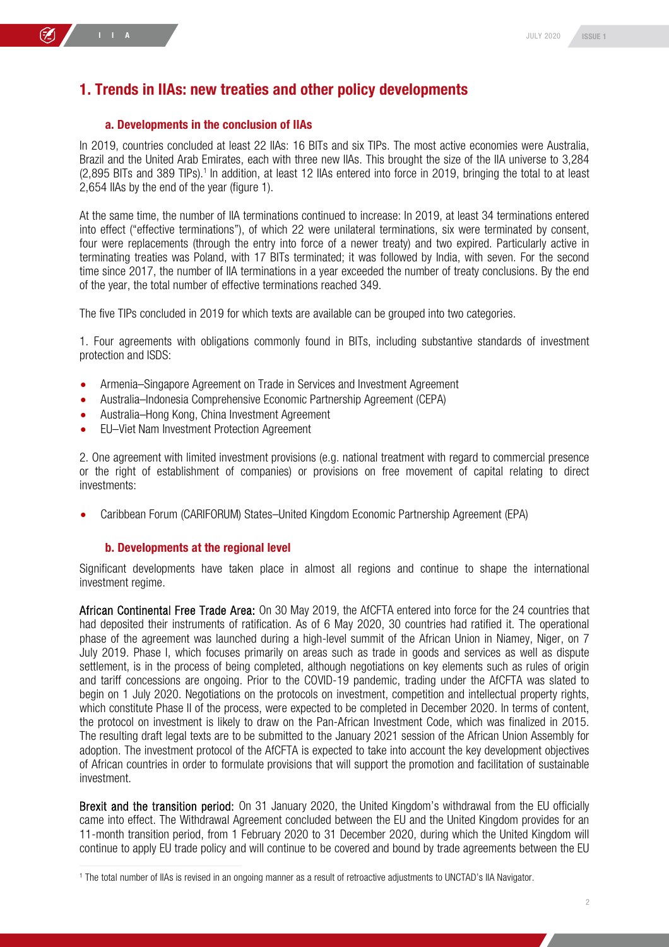#### 1. Trends in IIAs: new treaties and other policy developments

#### a. Developments in the conclusion of IIAs

In 2019, countries concluded at least 22 IIAs: 16 BITs and six TIPs. The most active economies were Australia, Brazil and the United Arab Emirates, each with three new IIAs. This brought the size of the IIA universe to 3,284 (2,895 BITs and 389 TIPs).<sup>1</sup> In addition, at least 12 IIAs entered into force in 2019, bringing the total to at least 2,654 IIAs by the end of the year (figure 1).

At the same time, the number of IIA terminations continued to increase: In 2019, at least 34 terminations entered into effect ("effective terminations"), of which 22 were unilateral terminations, six were terminated by consent, four were replacements (through the entry into force of a newer treaty) and two expired. Particularly active in terminating treaties was Poland, with 17 BITs terminated; it was followed by India, with seven. For the second time since 2017, the number of IIA terminations in a year exceeded the number of treaty conclusions. By the end of the year, the total number of effective terminations reached 349.

The five TIPs concluded in 2019 for which texts are available can be grouped into two categories.

1. Four agreements with obligations commonly found in BITs, including substantive standards of investment protection and ISDS:

- Armenia–Singapore Agreement on Trade in Services and Investment Agreement
- Australia–Indonesia Comprehensive Economic Partnership Agreement (CEPA)
- Australia–Hong Kong, China Investment Agreement
- EU–Viet Nam Investment Protection Agreement

2. One agreement with limited investment provisions (e.g. national treatment with regard to commercial presence or the right of establishment of companies) or provisions on free movement of capital relating to direct investments:

Caribbean Forum (CARIFORUM) States–United Kingdom Economic Partnership Agreement (EPA)

#### b. Developments at the regional level

Significant developments have taken place in almost all regions and continue to shape the international investment regime.

African Continental Free Trade Area: On 30 May 2019, the AfCFTA entered into force for the 24 countries that had deposited their instruments of ratification. As of 6 May 2020, 30 countries had ratified it. The operational phase of the agreement was launched during a high-level summit of the African Union in Niamey, Niger, on 7 July 2019. Phase I, which focuses primarily on areas such as trade in goods and services as well as dispute settlement, is in the process of being completed, although negotiations on key elements such as rules of origin and tariff concessions are ongoing. Prior to the COVID-19 pandemic, trading under the AfCFTA was slated to begin on 1 July 2020. Negotiations on the protocols on investment, competition and intellectual property rights, which constitute Phase II of the process, were expected to be completed in December 2020. In terms of content, the protocol on investment is likely to draw on the Pan-African Investment Code, which was finalized in 2015. The resulting draft legal texts are to be submitted to the January 2021 session of the African Union Assembly for adoption. The investment protocol of the AfCFTA is expected to take into account the key development objectives of African countries in order to formulate provisions that will support the promotion and facilitation of sustainable investment.

Brexit and the transition period: On 31 January 2020, the United Kingdom's withdrawal from the EU officially came into effect. The Withdrawal Agreement concluded between the EU and the United Kingdom provides for an 11-month transition period, from 1 February 2020 to 31 December 2020, during which the United Kingdom will continue to apply EU trade policy and will continue to be covered and bound by trade agreements between the EU

<sup>1</sup> The total number of IIAs is revised in an ongoing manner as a result of retroactive adjustments to UNCTAD's IIA Navigator.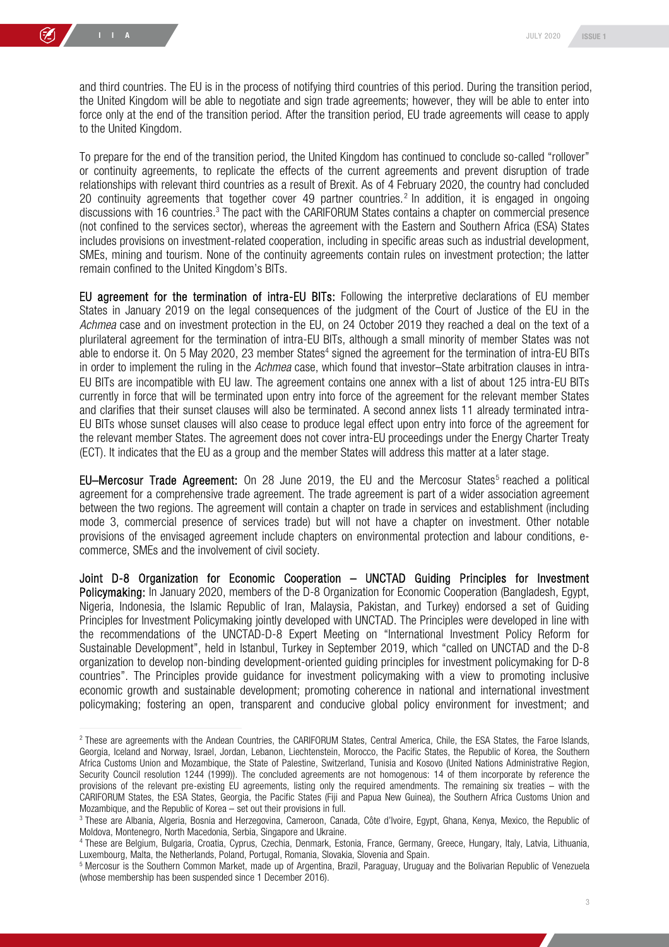and third countries. The EU is in the process of notifying third countries of this period. During the transition period, the United Kingdom will be able to negotiate and sign trade agreements; however, they will be able to enter into force only at the end of the transition period. After the transition period, EU trade agreements will cease to apply to the United Kingdom.

To prepare for the end of the transition period, the United Kingdom has continued to conclude so-called "rollover" or continuity agreements, to replicate the effects of the current agreements and prevent disruption of trade relationships with relevant third countries as a result of Brexit. As of 4 February 2020, the country had concluded 20 continuity agreements that together cover 49 partner countries.<sup>2</sup> In addition, it is engaged in ongoing discussions with 16 countries.<sup>3</sup> The pact with the CARIFORUM States contains a chapter on commercial presence (not confined to the services sector), whereas the agreement with the Eastern and Southern Africa (ESA) States includes provisions on investment-related cooperation, including in specific areas such as industrial development, SMEs, mining and tourism. None of the continuity agreements contain rules on investment protection; the latter remain confined to the United Kingdom's BITs.

EU agreement for the termination of intra-EU BITs: Following the interpretive declarations of EU member States in January 2019 on the legal consequences of the judgment of the Court of Justice of the EU in the *Achmea* case and on investment protection in the EU, on 24 October 2019 they reached a deal on the text of a plurilateral agreement for the termination of intra-EU BITs, although a small minority of member States was not able to endorse it. On 5 May 2020, 23 member States<sup>4</sup> signed the agreement for the termination of intra-EU BITs in order to implement the ruling in the *Achmea* case, which found that investor–State arbitration clauses in intra-EU BITs are incompatible with EU law. The agreement contains one annex with a list of about 125 intra-EU BITs currently in force that will be terminated upon entry into force of the agreement for the relevant member States and clarifies that their sunset clauses will also be terminated. A second annex lists 11 already terminated intra-EU BITs whose sunset clauses will also cease to produce legal effect upon entry into force of the agreement for the relevant member States. The agreement does not cover intra-EU proceedings under the Energy Charter Treaty (ECT). It indicates that the EU as a group and the member States will address this matter at a later stage.

 $EU-Mercosur$  Trade Agreement: On 28 June 2019, the EU and the Mercosur States<sup>5</sup> reached a political agreement for a comprehensive trade agreement. The trade agreement is part of a wider association agreement between the two regions. The agreement will contain a chapter on trade in services and establishment (including mode 3, commercial presence of services trade) but will not have a chapter on investment. Other notable provisions of the envisaged agreement include chapters on environmental protection and labour conditions, ecommerce, SMEs and the involvement of civil society.

Joint D-8 Organization for Economic Cooperation – UNCTAD Guiding Principles for Investment Policymaking: In January 2020, members of the D-8 Organization for Economic Cooperation (Bangladesh, Egypt, Nigeria, Indonesia, the Islamic Republic of Iran, Malaysia, Pakistan, and Turkey) endorsed a set of Guiding Principles for Investment Policymaking jointly developed with UNCTAD. The Principles were developed in line with the recommendations of the UNCTAD-D-8 Expert Meeting on "International Investment Policy Reform for Sustainable Development", held in Istanbul, Turkey in September 2019, which "called on UNCTAD and the D-8 organization to develop non-binding development-oriented guiding principles for investment policymaking for D-8 countries". The Principles provide guidance for investment policymaking with a view to promoting inclusive economic growth and sustainable development; promoting coherence in national and international investment policymaking; fostering an open, transparent and conducive global policy environment for investment; and

<sup>2</sup> These are agreements with the Andean Countries, the CARIFORUM States, Central America, Chile, the ESA States, the Faroe Islands, Georgia, Iceland and Norway, Israel, Jordan, Lebanon, Liechtenstein, Morocco, the Pacific States, the Republic of Korea, the Southern Africa Customs Union and Mozambique, the State of Palestine, Switzerland, Tunisia and Kosovo (United Nations Administrative Region, Security Council resolution 1244 (1999)). The concluded agreements are not homogenous: 14 of them incorporate by reference the provisions of the relevant pre-existing EU agreements, listing only the required amendments. The remaining six treaties – with the CARIFORUM States, the ESA States, Georgia, the Pacific States (Fiji and Papua New Guinea), the Southern Africa Customs Union and Mozambique, and the Republic of Korea – set out their provisions in full.

<sup>3</sup> These are Albania, Algeria, Bosnia and Herzegovina, Cameroon, Canada, Côte d'Ivoire, Egypt, Ghana, Kenya, Mexico, the Republic of Moldova, Montenegro, North Macedonia, Serbia, Singapore and Ukraine.

<sup>4</sup> These are Belgium, Bulgaria, Croatia, Cyprus, Czechia, Denmark, Estonia, France, Germany, Greece, Hungary, Italy, Latvia, Lithuania, Luxembourg, Malta, the Netherlands, Poland, Portugal, Romania, Slovakia, Slovenia and Spain.

<sup>5</sup> Mercosur is the Southern Common Market, made up of Argentina, Brazil, Paraguay, Uruguay and the Bolivarian Republic of Venezuela (whose membership has been suspended since 1 December 2016).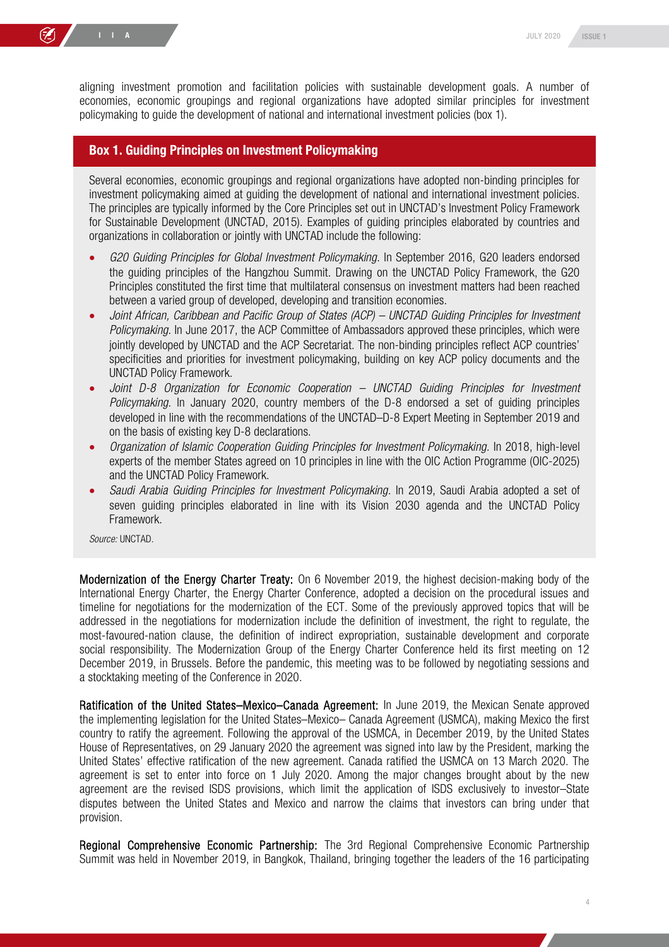aligning investment promotion and facilitation policies with sustainable development goals. A number of economies, economic groupings and regional organizations have adopted similar principles for investment policymaking to guide the development of national and international investment policies (box 1).

#### Box 1. Guiding Principles on Investment Policymaking

Several economies, economic groupings and regional organizations have adopted non-binding principles for investment policymaking aimed at guiding the development of national and international investment policies. The principles are typically informed by the Core Principles set out in UNCTAD's Investment Policy Framework for Sustainable Development (UNCTAD, 2015). Examples of guiding principles elaborated by countries and organizations in collaboration or jointly with UNCTAD include the following:

- *G20 Guiding Principles for Global Investment Policymaking.* In September 2016, G20 leaders endorsed the guiding principles of the Hangzhou Summit. Drawing on the UNCTAD Policy Framework, the G20 Principles constituted the first time that multilateral consensus on investment matters had been reached between a varied group of developed, developing and transition economies.
- *Joint African, Caribbean and Pacific Group of States (ACP) UNCTAD Guiding Principles for Investment Policymaking.* In June 2017, the ACP Committee of Ambassadors approved these principles, which were jointly developed by UNCTAD and the ACP Secretariat. The non-binding principles reflect ACP countries' specificities and priorities for investment policymaking, building on key ACP policy documents and the UNCTAD Policy Framework.
- *Joint D-8 Organization for Economic Cooperation UNCTAD Guiding Principles for Investment Policymaking.* In January 2020, country members of the D-8 endorsed a set of guiding principles developed in line with the recommendations of the UNCTAD–D-8 Expert Meeting in September 2019 and on the basis of existing key D-8 declarations.
- *Organization of Islamic Cooperation Guiding Principles for Investment Policymaking.* In 2018, high-level experts of the member States agreed on 10 principles in line with the OIC Action Programme (OIC-2025) and the UNCTAD Policy Framework.
- *Saudi Arabia Guiding Principles for Investment Policymaking.* In 2019, Saudi Arabia adopted a set of seven guiding principles elaborated in line with its Vision 2030 agenda and the UNCTAD Policy Framework.

*Source:* UNCTAD.

Modernization of the Energy Charter Treaty: On 6 November 2019, the highest decision-making body of the International Energy Charter, the Energy Charter Conference, adopted a decision on the procedural issues and timeline for negotiations for the modernization of the ECT. Some of the previously approved topics that will be addressed in the negotiations for modernization include the definition of investment, the right to regulate, the most-favoured-nation clause, the definition of indirect expropriation, sustainable development and corporate social responsibility. The Modernization Group of the Energy Charter Conference held its first meeting on 12 December 2019, in Brussels. Before the pandemic, this meeting was to be followed by negotiating sessions and a stocktaking meeting of the Conference in 2020.

Ratification of the United States–Mexico–Canada Agreement: In June 2019, the Mexican Senate approved the implementing legislation for the United States–Mexico– Canada Agreement (USMCA), making Mexico the first country to ratify the agreement. Following the approval of the USMCA, in December 2019, by the United States House of Representatives, on 29 January 2020 the agreement was signed into law by the President, marking the United States' effective ratification of the new agreement. Canada ratified the USMCA on 13 March 2020. The agreement is set to enter into force on 1 July 2020. Among the major changes brought about by the new agreement are the revised ISDS provisions, which limit the application of ISDS exclusively to investor–State disputes between the United States and Mexico and narrow the claims that investors can bring under that provision.

Regional Comprehensive Economic Partnership: The 3rd Regional Comprehensive Economic Partnership Summit was held in November 2019, in Bangkok, Thailand, bringing together the leaders of the 16 participating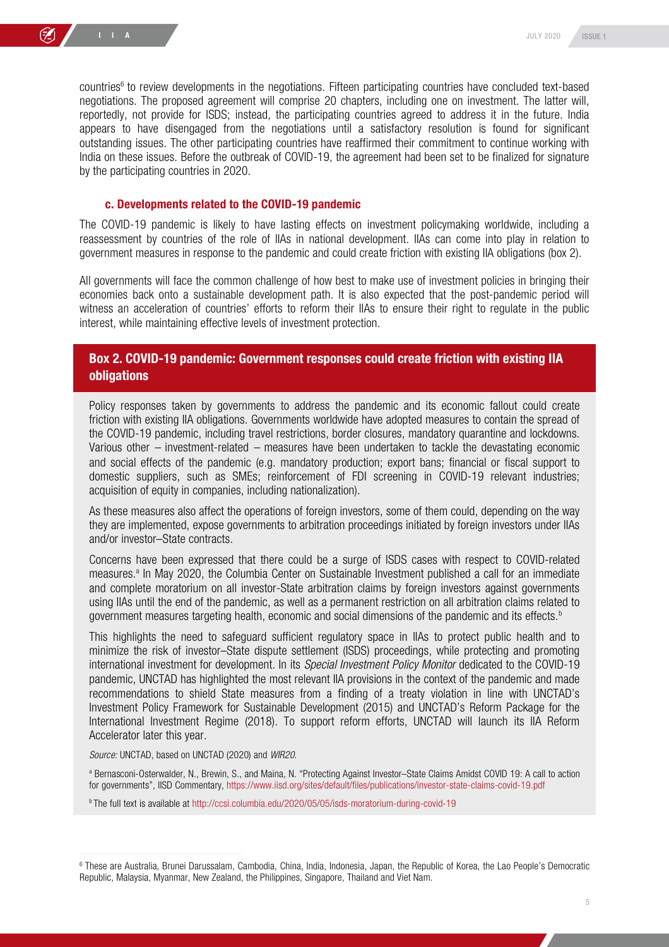countries<sup>6</sup> to review developments in the negotiations. Fifteen participating countries have concluded text-based negotiations. The proposed agreement will comprise 20 chapters, including one on investment. The latter will, reportedly, not provide for ISDS; instead, the participating countries agreed to address it in the future. India appears to have disengaged from the negotiations until a satisfactory resolution is found for significant outstanding issues. The other participating countries have reaffirmed their commitment to continue working with India on these issues. Before the outbreak of COVID-19, the agreement had been set to be finalized for signature by the participating countries in 2020.

#### c. Developments related to the COVID-19 pandemic

The COVID-19 pandemic is likely to have lasting effects on investment policymaking worldwide, including a reassessment by countries of the role of IIAs in national development. IIAs can come into play in relation to government measures in response to the pandemic and could create friction with existing IIA obligations (box 2).

All governments will face the common challenge of how best to make use of investment policies in bringing their economies back onto a sustainable development path. It is also expected that the post-pandemic period will witness an acceleration of countries' efforts to reform their IIAs to ensure their right to regulate in the public interest, while maintaining effective levels of investment protection.

#### Box 2. COVID-19 pandemic: Government responses could create friction with existing IIA **obligations**

Policy responses taken by governments to address the pandemic and its economic fallout could create friction with existing IIA obligations. Governments worldwide have adopted measures to contain the spread of the COVID-19 pandemic, including travel restrictions, border closures, mandatory quarantine and lockdowns. Various other *–* investment-related *–* measures have been undertaken to tackle the devastating economic and social effects of the pandemic (e.g. mandatory production; export bans; financial or fiscal support to domestic suppliers, such as SMEs; reinforcement of FDI screening in COVID-19 relevant industries; acquisition of equity in companies, including nationalization).

As these measures also affect the operations of foreign investors, some of them could, depending on the way they are implemented, expose governments to arbitration proceedings initiated by foreign investors under IIAs and/or investor–State contracts.

Concerns have been expressed that there could be a surge of ISDS cases with respect to COVID-related measures.<sup>a</sup> In May 2020, the Columbia Center on Sustainable Investment published a call for an immediate and complete moratorium on all investor-State arbitration claims by foreign investors against governments using IIAs until the end of the pandemic, as well as a permanent restriction on all arbitration claims related to government measures targeting health, economic and social dimensions of the pandemic and its effects.<sup>b</sup>

This highlights the need to safeguard sufficient regulatory space in IIAs to protect public health and to minimize the risk of investor–State dispute settlement (ISDS) proceedings, while protecting and promoting international investment for development. In its *Special Investment Policy Monitor* dedicated to the COVID-19 pandemic, UNCTAD has highlighted the most relevant IIA provisions in the context of the pandemic and made recommendations to shield State measures from a finding of a treaty violation in line with UNCTAD's Investment Policy Framework for Sustainable Development (2015) and UNCTAD's Reform Package for the International Investment Regime (2018). To support reform efforts, UNCTAD will launch its IIA Reform Accelerator later this year.

*Source:* UNCTAD, based on UNCTAD (2020) and *WIR20*.

<sup>a</sup> Bernasconi-Osterwalder, N., Brewin, S., and Maina, N. "Protecting Against Investor–State Claims Amidst COVID 19: A call to action for governments", IISD Commentary, https://www.iisd.org/sites/default/files/publications/investor-state-claims-covid-19.pdf

b The full text is available at http://ccsi.columbia.edu/2020/05/05/isds-moratorium-during-covid-19

<sup>6</sup> These are Australia, Brunei Darussalam, Cambodia, China, India, Indonesia, Japan, the Republic of Korea, the Lao People's Democratic Republic, Malaysia, Myanmar, New Zealand, the Philippines, Singapore, Thailand and Viet Nam.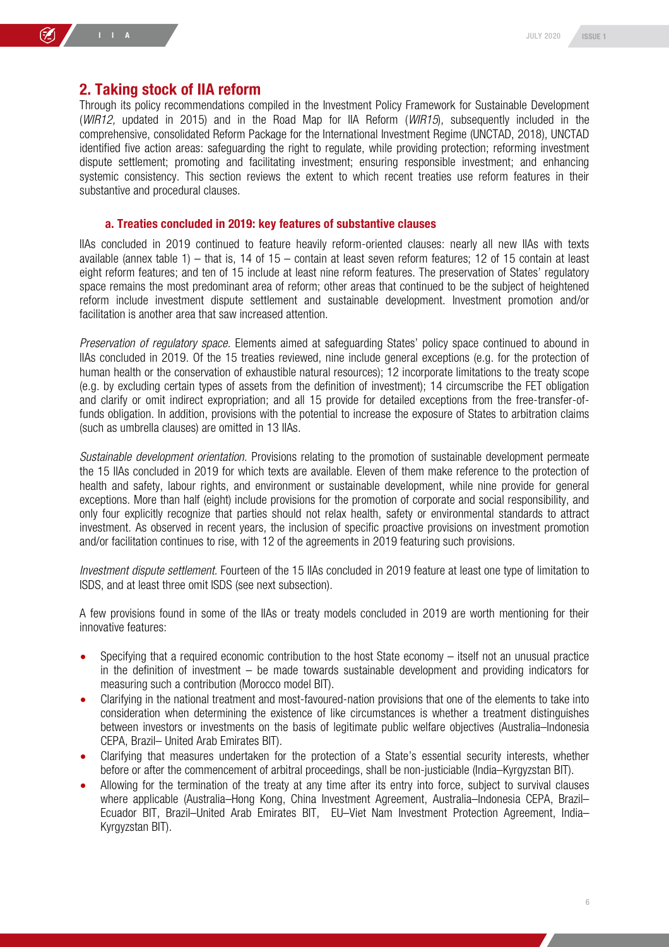#### 2. Taking stock of IIA reform

Through its policy recommendations compiled in the Investment Policy Framework for Sustainable Development (*WIR12,* updated in 2015) and in the Road Map for IIA Reform (*WIR15*), subsequently included in the comprehensive, consolidated Reform Package for the International Investment Regime (UNCTAD, 2018), UNCTAD identified five action areas: safeguarding the right to regulate, while providing protection; reforming investment dispute settlement; promoting and facilitating investment; ensuring responsible investment; and enhancing systemic consistency. This section reviews the extent to which recent treaties use reform features in their substantive and procedural clauses.

#### a. Treaties concluded in 2019: key features of substantive clauses

IIAs concluded in 2019 continued to feature heavily reform-oriented clauses: nearly all new IIAs with texts available (annex table 1) – that is, 14 of 15 – contain at least seven reform features; 12 of 15 contain at least eight reform features; and ten of 15 include at least nine reform features. The preservation of States' regulatory space remains the most predominant area of reform; other areas that continued to be the subject of heightened reform include investment dispute settlement and sustainable development. Investment promotion and/or facilitation is another area that saw increased attention.

*Preservation of regulatory space.* Elements aimed at safeguarding States' policy space continued to abound in IIAs concluded in 2019. Of the 15 treaties reviewed, nine include general exceptions (e.g. for the protection of human health or the conservation of exhaustible natural resources); 12 incorporate limitations to the treaty scope (e.g. by excluding certain types of assets from the definition of investment); 14 circumscribe the FET obligation and clarify or omit indirect expropriation; and all 15 provide for detailed exceptions from the free-transfer-offunds obligation. In addition, provisions with the potential to increase the exposure of States to arbitration claims (such as umbrella clauses) are omitted in 13 IIAs.

*Sustainable development orientation.* Provisions relating to the promotion of sustainable development permeate the 15 IIAs concluded in 2019 for which texts are available. Eleven of them make reference to the protection of health and safety, labour rights, and environment or sustainable development, while nine provide for general exceptions. More than half (eight) include provisions for the promotion of corporate and social responsibility, and only four explicitly recognize that parties should not relax health, safety or environmental standards to attract investment. As observed in recent years, the inclusion of specific proactive provisions on investment promotion and/or facilitation continues to rise, with 12 of the agreements in 2019 featuring such provisions.

*Investment dispute settlement.* Fourteen of the 15 IIAs concluded in 2019 feature at least one type of limitation to ISDS, and at least three omit ISDS (see next subsection).

A few provisions found in some of the IIAs or treaty models concluded in 2019 are worth mentioning for their innovative features:

- Specifying that a required economic contribution to the host State economy itself not an unusual practice in the definition of investment – be made towards sustainable development and providing indicators for measuring such a contribution (Morocco model BIT).
- Clarifying in the national treatment and most-favoured-nation provisions that one of the elements to take into consideration when determining the existence of like circumstances is whether a treatment distinguishes between investors or investments on the basis of legitimate public welfare objectives (Australia–Indonesia CEPA, Brazil– United Arab Emirates BIT).
- Clarifying that measures undertaken for the protection of a State's essential security interests, whether before or after the commencement of arbitral proceedings, shall be non-justiciable (India–Kyrgyzstan BIT).
- Allowing for the termination of the treaty at any time after its entry into force, subject to survival clauses where applicable (Australia–Hong Kong, China Investment Agreement, Australia–Indonesia CEPA, Brazil– Ecuador BIT, Brazil–United Arab Emirates BIT, EU–Viet Nam Investment Protection Agreement, India– Kyrgyzstan BIT).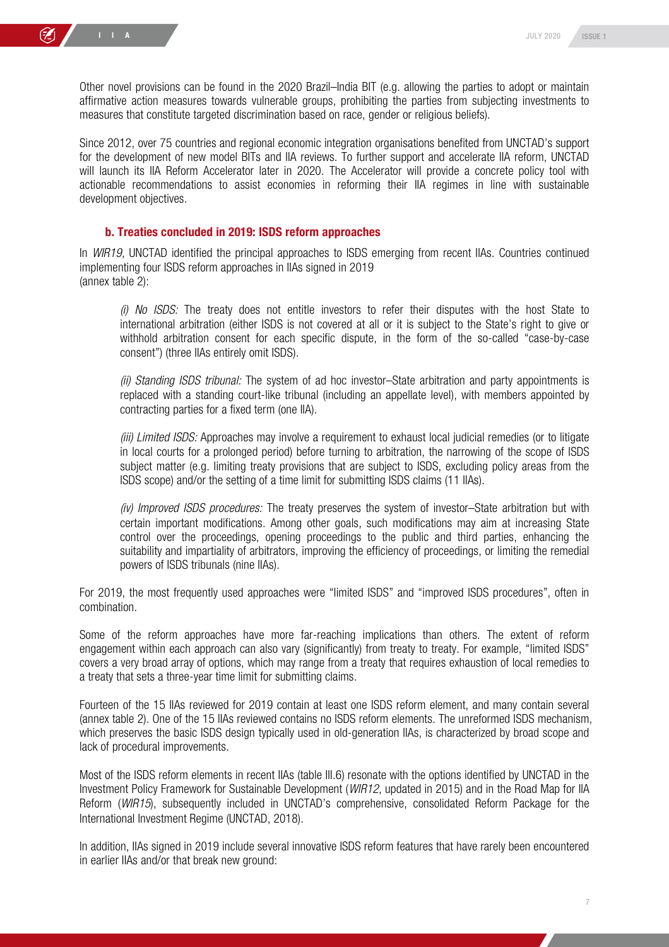Other novel provisions can be found in the 2020 Brazil–India BIT (e.g. allowing the parties to adopt or maintain affirmative action measures towards vulnerable groups, prohibiting the parties from subjecting investments to measures that constitute targeted discrimination based on race, gender or religious beliefs).

Since 2012, over 75 countries and regional economic integration organisations benefited from UNCTAD's support for the development of new model BITs and IIA reviews. To further support and accelerate IIA reform, UNCTAD will launch its IIA Reform Accelerator later in 2020. The Accelerator will provide a concrete policy tool with actionable recommendations to assist economies in reforming their IIA regimes in line with sustainable development objectives.

#### b. Treaties concluded in 2019: ISDS reform approaches

In *WIR19*, UNCTAD identified the principal approaches to ISDS emerging from recent IIAs. Countries continued implementing four ISDS reform approaches in IIAs signed in 2019 (annex table 2):

*(i) No ISDS:* The treaty does not entitle investors to refer their disputes with the host State to international arbitration (either ISDS is not covered at all or it is subject to the State's right to give or withhold arbitration consent for each specific dispute, in the form of the so-called "case-by-case consent") (three IIAs entirely omit ISDS).

*(ii) Standing ISDS tribunal:* The system of ad hoc investor–State arbitration and party appointments is replaced with a standing court-like tribunal (including an appellate level), with members appointed by contracting parties for a fixed term (one IIA).

*(iii) Limited ISDS:* Approaches may involve a requirement to exhaust local judicial remedies (or to litigate in local courts for a prolonged period) before turning to arbitration, the narrowing of the scope of ISDS subject matter (e.g. limiting treaty provisions that are subject to ISDS, excluding policy areas from the ISDS scope) and/or the setting of a time limit for submitting ISDS claims (11 IIAs).

*(iv) Improved ISDS procedures:* The treaty preserves the system of investor–State arbitration but with certain important modifications. Among other goals, such modifications may aim at increasing State control over the proceedings, opening proceedings to the public and third parties, enhancing the suitability and impartiality of arbitrators, improving the efficiency of proceedings, or limiting the remedial powers of ISDS tribunals (nine IIAs).

For 2019, the most frequently used approaches were "limited ISDS" and "improved ISDS procedures", often in combination.

Some of the reform approaches have more far-reaching implications than others. The extent of reform engagement within each approach can also vary (significantly) from treaty to treaty. For example, "limited ISDS" covers a very broad array of options, which may range from a treaty that requires exhaustion of local remedies to a treaty that sets a three-year time limit for submitting claims.

Fourteen of the 15 IIAs reviewed for 2019 contain at least one ISDS reform element, and many contain several (annex table 2). One of the 15 IIAs reviewed contains no ISDS reform elements. The unreformed ISDS mechanism, which preserves the basic ISDS design typically used in old-generation IIAs, is characterized by broad scope and lack of procedural improvements.

Most of the ISDS reform elements in recent IIAs (table III.6) resonate with the options identified by UNCTAD in the Investment Policy Framework for Sustainable Development (*WIR12*, updated in 2015) and in the Road Map for IIA Reform (*WIR15*), subsequently included in UNCTAD's comprehensive, consolidated Reform Package for the International Investment Regime (UNCTAD, 2018).

In addition, IIAs signed in 2019 include several innovative ISDS reform features that have rarely been encountered in earlier IIAs and/or that break new ground: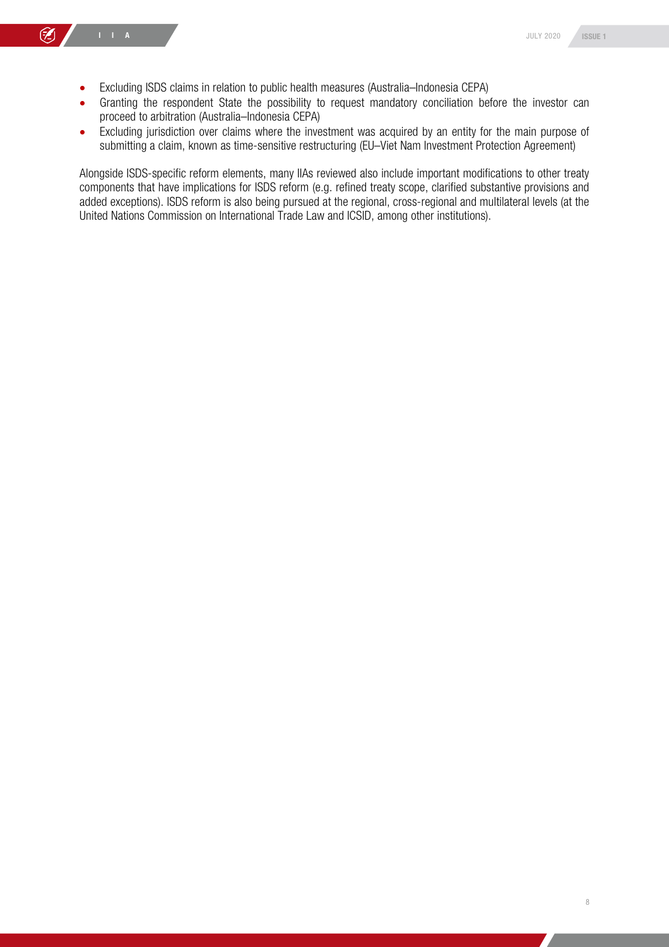- Excluding ISDS claims in relation to public health measures (Australia–Indonesia CEPA)
- Granting the respondent State the possibility to request mandatory conciliation before the investor can proceed to arbitration (Australia–Indonesia CEPA)
- Excluding jurisdiction over claims where the investment was acquired by an entity for the main purpose of submitting a claim, known as time-sensitive restructuring (EU–Viet Nam Investment Protection Agreement)

Alongside ISDS-specific reform elements, many IIAs reviewed also include important modifications to other treaty components that have implications for ISDS reform (e.g. refined treaty scope, clarified substantive provisions and added exceptions). ISDS reform is also being pursued at the regional, cross-regional and multilateral levels (at the United Nations Commission on International Trade Law and ICSID, among other institutions).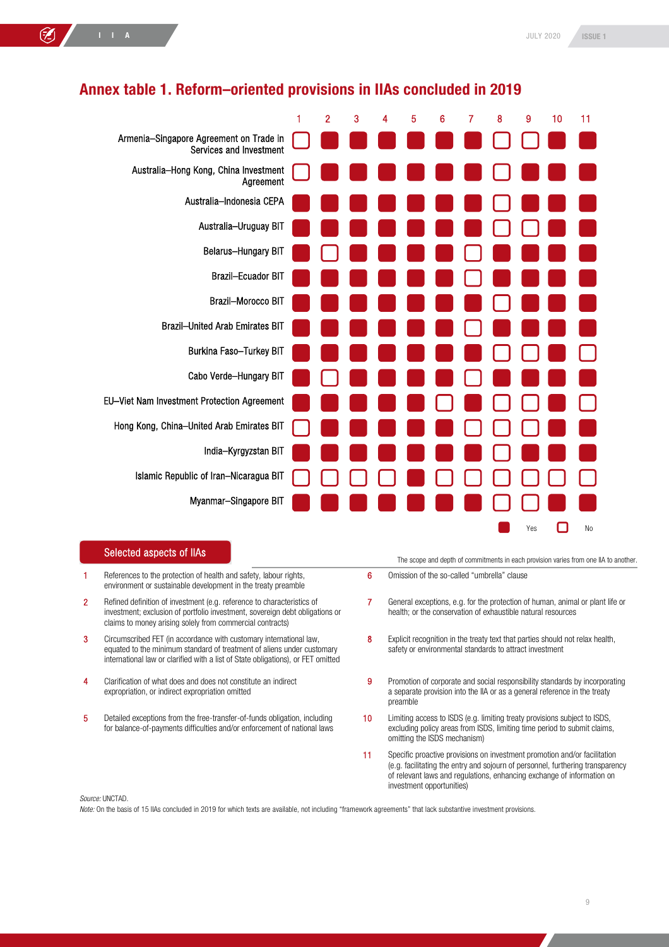

#### Annex table 1. Reform–oriented provisions in IIAs concluded in 2019

#### Selected aspects of IIAs

- 1 References to the protection of health and safety, labour rights, environment or sustainable development in the treaty preamble
- 2 Refined definition of investment (e.g. reference to characteristics of investment; exclusion of portfolio investment, sovereign debt obligations or claims to money arising solely from commercial contracts)
- 3 Circumscribed FET (in accordance with customary international law, equated to the minimum standard of treatment of aliens under customary international law or clarified with a list of State obligations), or FET omitted
- 4 Clarification of what does and does not constitute an indirect expropriation, or indirect expropriation omitted
- 5 Detailed exceptions from the free-transfer-of-funds obligation, including for balance-of-payments difficulties and/or enforcement of national laws

The scope and depth of commitments in each provision varies from one IIA to another.

- 6 Omission of the so-called "umbrella" clause
- 7 General exceptions, e.g. for the protection of human, animal or plant life or health; or the conservation of exhaustible natural resources
- 8 Explicit recognition in the treaty text that parties should not relax health, safety or environmental standards to attract investment
- 9 Promotion of corporate and social responsibility standards by incorporating a separate provision into the IIA or as a general reference in the treaty preamble
- 10 Limiting access to ISDS (e.g. limiting treaty provisions subject to ISDS, excluding policy areas from ISDS, limiting time period to submit claims, omitting the ISDS mechanism)
- 11 Specific proactive provisions on investment promotion and/or facilitation (e.g. facilitating the entry and sojourn of personnel, furthering transparency of relevant laws and regulations, enhancing exchange of information on investment opportunities)

*Source:* UNCTAD.

*Note:* On the basis of 15 IIAs concluded in 2019 for which texts are available, not including "framework agreements" that lack substantive investment provisions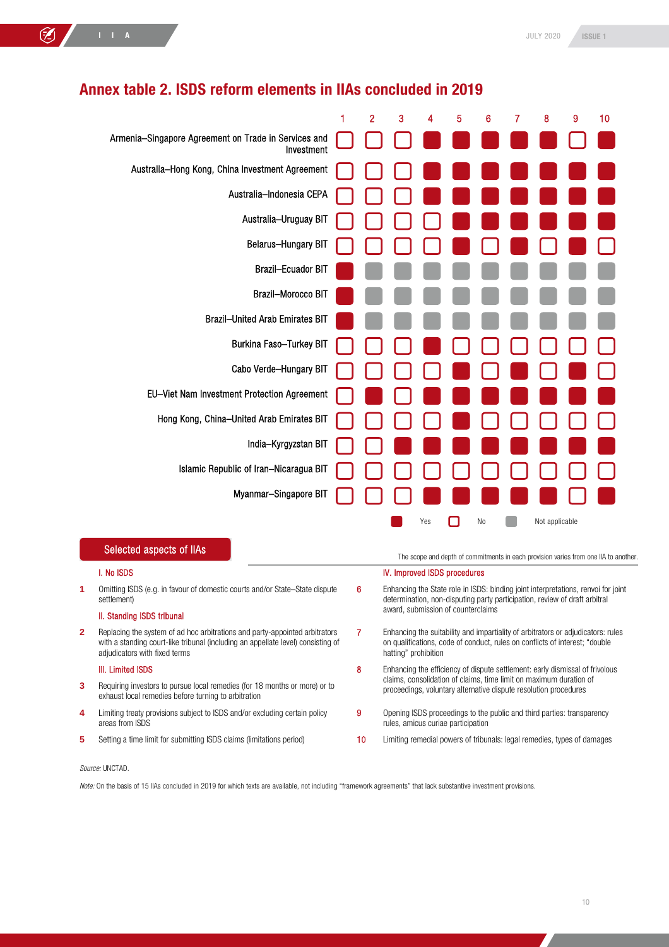|              |                                                                                                                                                                                                  | 1 | 2                                  | 3                                                                                                                                                                                       | 4   | 5 | 6  | 7 | 8                                                                            | 9 | 10 |  |  |
|--------------|--------------------------------------------------------------------------------------------------------------------------------------------------------------------------------------------------|---|------------------------------------|-----------------------------------------------------------------------------------------------------------------------------------------------------------------------------------------|-----|---|----|---|------------------------------------------------------------------------------|---|----|--|--|
|              | Armenia-Singapore Agreement on Trade in Services and<br>Investment                                                                                                                               |   |                                    |                                                                                                                                                                                         |     |   |    |   |                                                                              |   |    |  |  |
|              | Australia-Hong Kong, China Investment Agreement                                                                                                                                                  |   |                                    |                                                                                                                                                                                         |     |   |    |   |                                                                              |   |    |  |  |
|              | Australia-Indonesia CEPA                                                                                                                                                                         |   |                                    |                                                                                                                                                                                         |     |   |    |   |                                                                              |   |    |  |  |
|              | Australia-Uruguay BIT                                                                                                                                                                            |   |                                    |                                                                                                                                                                                         |     |   |    |   |                                                                              |   |    |  |  |
|              | <b>Belarus-Hungary BIT</b>                                                                                                                                                                       |   |                                    |                                                                                                                                                                                         |     |   |    |   |                                                                              |   |    |  |  |
|              | <b>Brazil-Ecuador BIT</b>                                                                                                                                                                        |   |                                    |                                                                                                                                                                                         |     |   |    |   |                                                                              |   |    |  |  |
|              | <b>Brazil-Morocco BIT</b>                                                                                                                                                                        |   |                                    |                                                                                                                                                                                         |     |   |    |   |                                                                              |   |    |  |  |
|              | <b>Brazil-United Arab Emirates BIT</b>                                                                                                                                                           |   |                                    |                                                                                                                                                                                         |     |   |    |   |                                                                              |   |    |  |  |
|              | Burkina Faso-Turkey BIT                                                                                                                                                                          |   |                                    |                                                                                                                                                                                         |     |   |    |   |                                                                              |   |    |  |  |
|              | Cabo Verde-Hungary BIT                                                                                                                                                                           |   |                                    |                                                                                                                                                                                         |     |   |    |   |                                                                              |   |    |  |  |
|              | EU-Viet Nam Investment Protection Agreement                                                                                                                                                      |   |                                    |                                                                                                                                                                                         |     |   |    |   |                                                                              |   |    |  |  |
|              | Hong Kong, China-United Arab Emirates BIT                                                                                                                                                        |   |                                    |                                                                                                                                                                                         |     |   |    |   |                                                                              |   |    |  |  |
|              | India-Kyrgyzstan BIT                                                                                                                                                                             |   |                                    |                                                                                                                                                                                         |     |   |    |   |                                                                              |   |    |  |  |
|              | Islamic Republic of Iran-Nicaragua BIT                                                                                                                                                           |   |                                    |                                                                                                                                                                                         |     |   |    |   |                                                                              |   |    |  |  |
|              | Myanmar-Singapore BIT                                                                                                                                                                            |   |                                    |                                                                                                                                                                                         |     |   |    |   |                                                                              |   |    |  |  |
|              |                                                                                                                                                                                                  |   |                                    |                                                                                                                                                                                         | Yes |   | No |   | Not applicable                                                               |   |    |  |  |
|              |                                                                                                                                                                                                  |   |                                    |                                                                                                                                                                                         |     |   |    |   |                                                                              |   |    |  |  |
|              | Selected aspects of IIAs<br>The scope and depth of commitments in each provision varies from one IIA to another.                                                                                 |   |                                    |                                                                                                                                                                                         |     |   |    |   |                                                                              |   |    |  |  |
|              | I. No ISDS                                                                                                                                                                                       |   |                                    | IV. Improved ISDS procedures                                                                                                                                                            |     |   |    |   |                                                                              |   |    |  |  |
| 1            | Omitting ISDS (e.g. in favour of domestic courts and/or State–State dispute<br>settlement)                                                                                                       |   | 6                                  | Enhancing the State role in ISDS: binding joint interpretations, renvoi for joint<br>determination, non-disputing party participation, review of draft arbitral                         |     |   |    |   |                                                                              |   |    |  |  |
|              | II. Standing ISDS tribunal                                                                                                                                                                       |   | award, submission of counterclaims |                                                                                                                                                                                         |     |   |    |   |                                                                              |   |    |  |  |
| $\mathbf{2}$ | Replacing the system of ad hoc arbitrations and party-appointed arbitrators<br>with a standing court-like tribunal (including an appellate level) consisting of<br>adjudicators with fixed terms |   | 7                                  | Enhancing the suitability and impartiality of arbitrators or adjudicators: rules<br>on qualifications, code of conduct, rules on conflicts of interest; "double<br>hatting" prohibition |     |   |    |   |                                                                              |   |    |  |  |
|              | <b>III. Limited ISDS</b>                                                                                                                                                                         |   | 8                                  |                                                                                                                                                                                         |     |   |    |   | Enhancing the efficiency of dispute settlement: early dismissal of frivolous |   |    |  |  |
| 3            | Requiring investors to pursue local remedies (for 18 months or more) or to<br>exhaust local remedies before turning to arbitration                                                               |   |                                    | claims, consolidation of claims, time limit on maximum duration of<br>proceedings, voluntary alternative dispute resolution procedures                                                  |     |   |    |   |                                                                              |   |    |  |  |

### Annex table 2. ISDS reform elements in IIAs concluded in 2019

- **4** Limiting treaty provisions subject to ISDS and/or excluding certain policy 9 Opening ISDS proceedings to the public and third parties: transparency rules, amicus curiae participation
- 5 Setting a time limit for submitting ISDS claims (limitations period) **10** Limiting remedial powers of tribunals: legal remedies, types of damages

*Source:* UNCTAD.

areas from ISDS

*Note:* On the basis of 15 IIAs concluded in 2019 for which texts are available, not including "framework agreements" that lack substantive investment provisions.